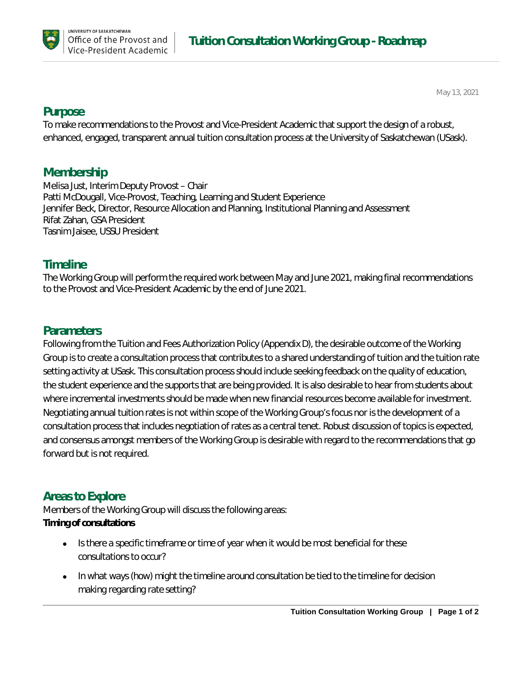

May 13, 2021

## **Purpose**

To make recommendations to the Provost and Vice-President Academic that support the design of a robust, enhanced, engaged, transparent annual tuition consultation process at the University of Saskatchewan (USask).

# **Membership**

Melisa Just, Interim Deputy Provost – Chair Patti McDougall, Vice-Provost, Teaching, Learning and Student Experience Jennifer Beck, Director, Resource Allocation and Planning, Institutional Planning and Assessment Rifat Zahan, GSA President Tasnim Jaisee, USSU President

## **Timeline**

The Working Group will perform the required work between May and June 2021, making final recommendations to the Provost and Vice-President Academic by the end of June 2021.

# **Parameters**

Following from the Tuition and Fees Authorization Policy (Appendix D), the desirable outcome of the Working Group is to create a consultation process that contributes to a shared understanding of tuition and the tuition rate setting activity at USask. This consultation process should include seeking feedback on the quality of education, the student experience and the supports that are being provided. It is also desirable to hear from students about where incremental investments should be made when new financial resources become available for investment. Negotiating annual tuition rates is not within scope of the Working Group's focus nor is the development of a consultation process that includes negotiation of rates as a central tenet. Robust discussion of topics is expected, and consensus amongst members of the Working Group is desirable with regard to the recommendations that go forward but is not required.

# **Areas to Explore**

Members of the Working Group will discuss the following areas: **Timing of consultations** 

- *Is there a specific timeframe or time of year when it would be most beneficial for these consultations to occur?*
- *In what ways (how) might the timeline around consultation be tied to the timeline for decision making regarding rate setting?*